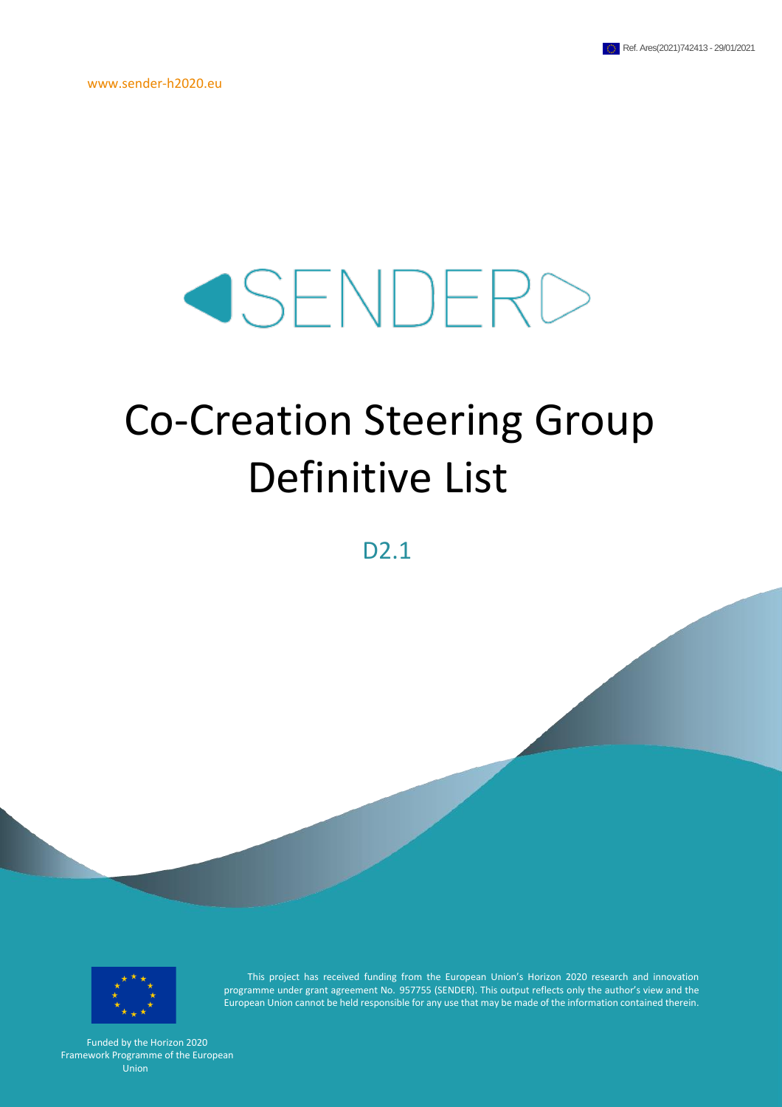www.sender-h2020.eu

# SENDERD

# Co-Creation Steering Group Definitive List

D<sub>2.1</sub>



This project has received funding from the European Union's Horizon 2020 research and innovation programme under grant agreement No. 957755 (SENDER). This output reflects only the author's view and the European Union cannot be held responsible for any use that may be made of the information contained therein.

Funded by the Horizon 2020 Framework Programme of the European Union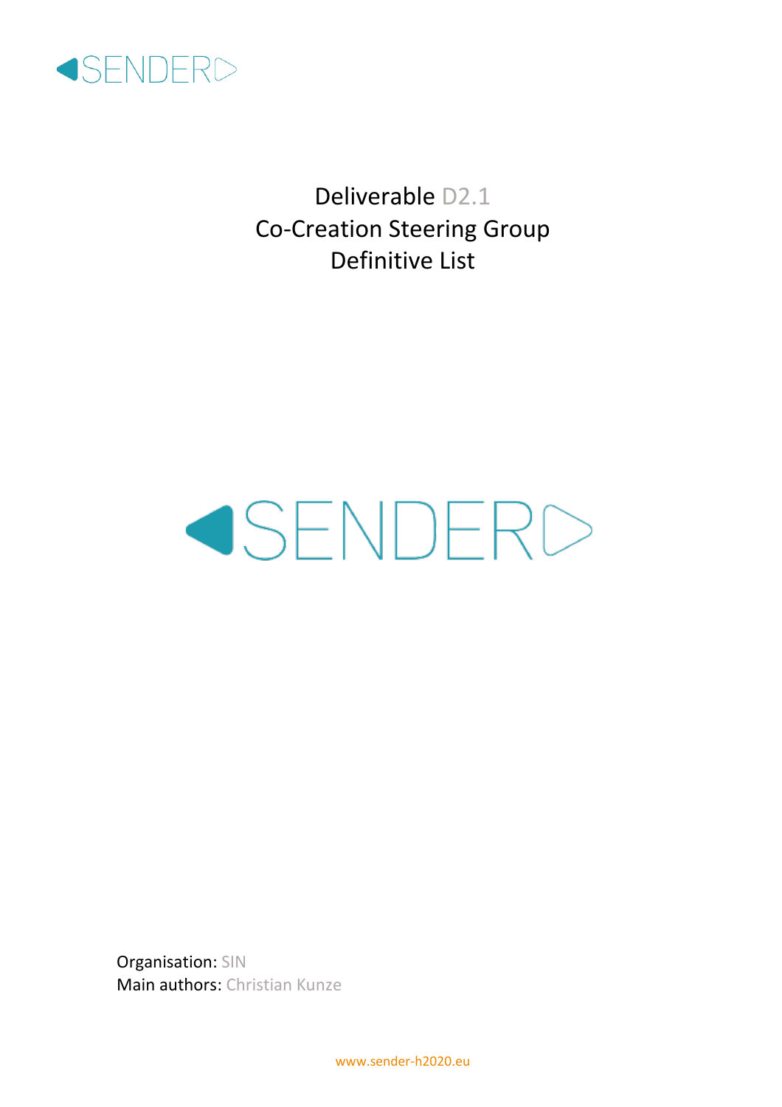

Deliverable D2.1 Co-Creation Steering Group Definitive List

# SENDERD

Organisation: SIN Main authors: Christian Kunze

www.sender-h2020.eu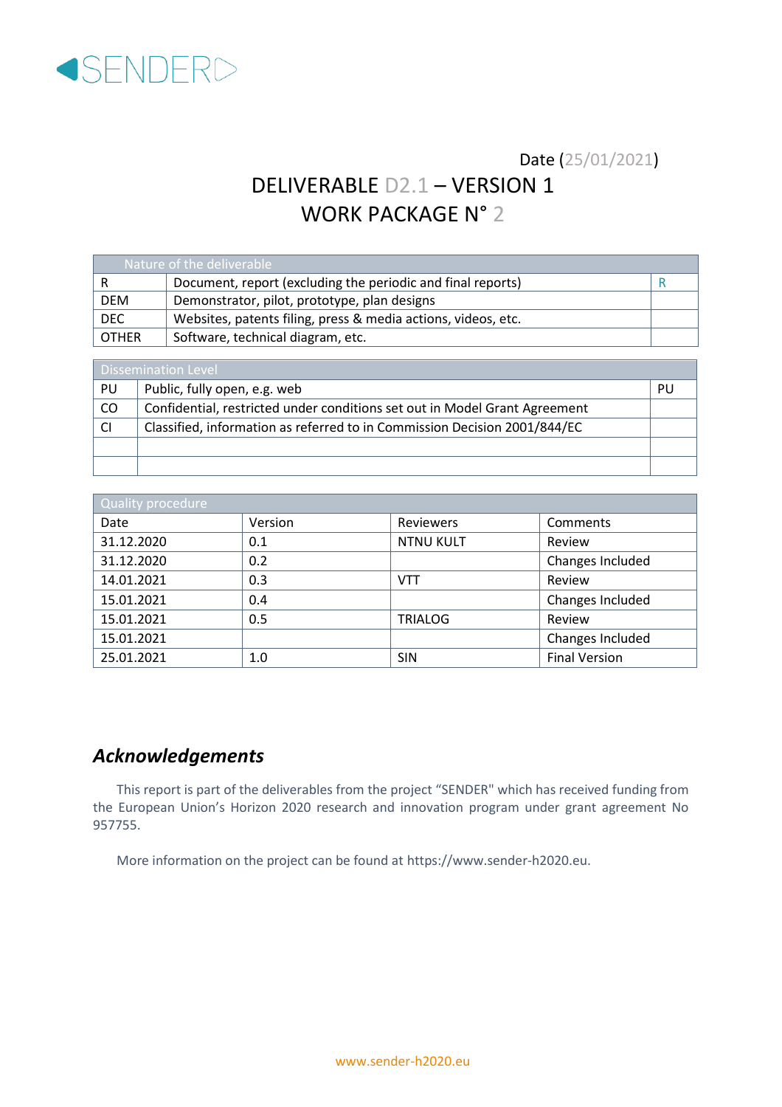

### Date (25/01/2021)

# DELIVERABLE D2.1 – VERSION 1 WORK PACKAGE N° 2

| Nature of the deliverable |                                                               |  |  |  |  |
|---------------------------|---------------------------------------------------------------|--|--|--|--|
| -R                        | Document, report (excluding the periodic and final reports)   |  |  |  |  |
| <b>DEM</b>                | Demonstrator, pilot, prototype, plan designs                  |  |  |  |  |
| DEC.                      | Websites, patents filing, press & media actions, videos, etc. |  |  |  |  |
| l other                   | Software, technical diagram, etc.                             |  |  |  |  |

| Dissemination Level |                                                                            |    |  |  |
|---------------------|----------------------------------------------------------------------------|----|--|--|
| PU                  | Public, fully open, e.g. web                                               | PU |  |  |
| CO                  | Confidential, restricted under conditions set out in Model Grant Agreement |    |  |  |
| <b>CI</b>           | Classified, information as referred to in Commission Decision 2001/844/EC  |    |  |  |
|                     |                                                                            |    |  |  |
|                     |                                                                            |    |  |  |

| <b>Quality procedure</b> |         |                  |                      |  |  |  |
|--------------------------|---------|------------------|----------------------|--|--|--|
| Date                     | Version | <b>Reviewers</b> | Comments             |  |  |  |
| 31.12.2020               | 0.1     | <b>NTNU KULT</b> | Review               |  |  |  |
| 31.12.2020               | 0.2     |                  | Changes Included     |  |  |  |
| 14.01.2021               | 0.3     | <b>VTT</b>       | Review               |  |  |  |
| 15.01.2021               | 0.4     |                  | Changes Included     |  |  |  |
| 15.01.2021               | 0.5     | <b>TRIALOG</b>   | Review               |  |  |  |
| 15.01.2021               |         |                  | Changes Included     |  |  |  |
| 25.01.2021               | 1.0     | <b>SIN</b>       | <b>Final Version</b> |  |  |  |

### <span id="page-2-0"></span>*Acknowledgements*

This report is part of the deliverables from the project "SENDER" which has received funding from the European Union's Horizon 2020 research and innovation program under grant agreement No 957755.

More information on the project can be found at https://www.sender-h2020.eu.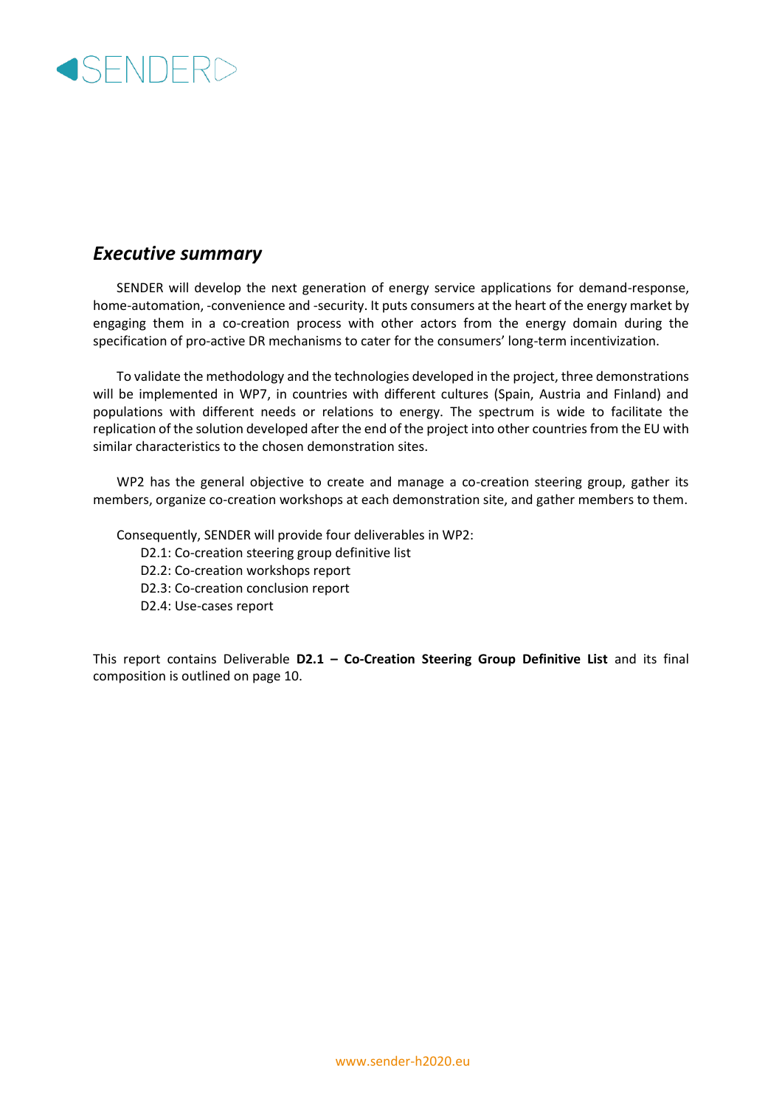

### <span id="page-3-0"></span>*Executive summary*

SENDER will develop the next generation of energy service applications for demand-response, home-automation, -convenience and -security. It puts consumers at the heart of the energy market by engaging them in a co-creation process with other actors from the energy domain during the specification of pro-active DR mechanisms to cater for the consumers' long-term incentivization.

To validate the methodology and the technologies developed in the project, three demonstrations will be implemented in WP7, in countries with different cultures (Spain, Austria and Finland) and populations with different needs or relations to energy. The spectrum is wide to facilitate the replication of the solution developed after the end of the project into other countries from the EU with similar characteristics to the chosen demonstration sites.

WP2 has the general objective to create and manage a co-creation steering group, gather its members, organize co-creation workshops at each demonstration site, and gather members to them.

Consequently, SENDER will provide four deliverables in WP2:

- D2.1: Co-creation steering group definitive list
- D2.2: Co-creation workshops report
- D2.3: Co-creation conclusion report
- D2.4: Use-cases report

This report contains Deliverable **D2.1 – Co-Creation Steering Group Definitive List** and its final composition is outlined on page 10.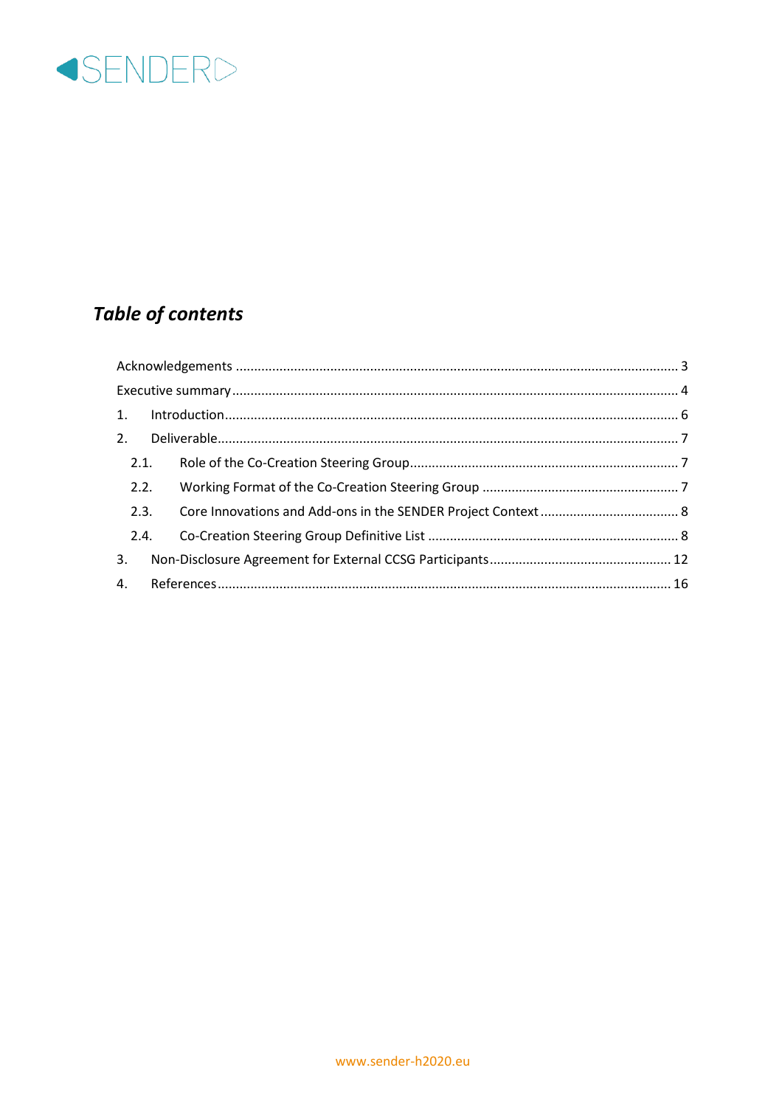

# **Table of contents**

|      | 2.1. |  |
|------|------|--|
|      | 2.2. |  |
| 2.3. |      |  |
|      | 2.4. |  |
| 3.   |      |  |
|      |      |  |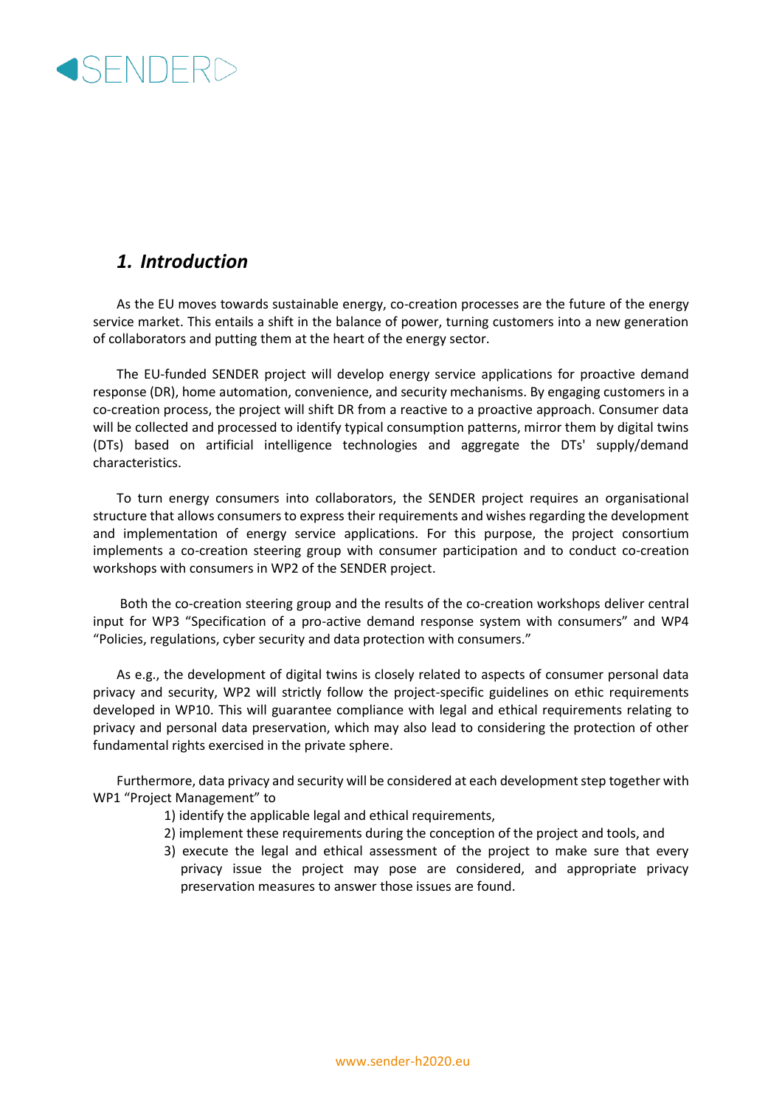

### <span id="page-5-0"></span>*1. Introduction*

As the EU moves towards sustainable energy, co-creation processes are the future of the energy service market. This entails a shift in the balance of power, turning customers into a new generation of collaborators and putting them at the heart of the energy sector.

The EU-funded SENDER project will develop energy service applications for proactive demand response (DR), home automation, convenience, and security mechanisms. By engaging customers in a co-creation process, the project will shift DR from a reactive to a proactive approach. Consumer data will be collected and processed to identify typical consumption patterns, mirror them by digital twins (DTs) based on artificial intelligence technologies and aggregate the DTs' supply/demand characteristics.

To turn energy consumers into collaborators, the SENDER project requires an organisational structure that allows consumers to express their requirements and wishes regarding the development and implementation of energy service applications. For this purpose, the project consortium implements a co-creation steering group with consumer participation and to conduct co-creation workshops with consumers in WP2 of the SENDER project.

Both the co-creation steering group and the results of the co-creation workshops deliver central input for WP3 "Specification of a pro-active demand response system with consumers" and WP4 "Policies, regulations, cyber security and data protection with consumers."

As e.g., the development of digital twins is closely related to aspects of consumer personal data privacy and security, WP2 will strictly follow the project-specific guidelines on ethic requirements developed in WP10. This will guarantee compliance with legal and ethical requirements relating to privacy and personal data preservation, which may also lead to considering the protection of other fundamental rights exercised in the private sphere.

Furthermore, data privacy and security will be considered at each development step together with WP1 "Project Management" to

- 1) identify the applicable legal and ethical requirements,
- 2) implement these requirements during the conception of the project and tools, and
- 3) execute the legal and ethical assessment of the project to make sure that every privacy issue the project may pose are considered, and appropriate privacy preservation measures to answer those issues are found.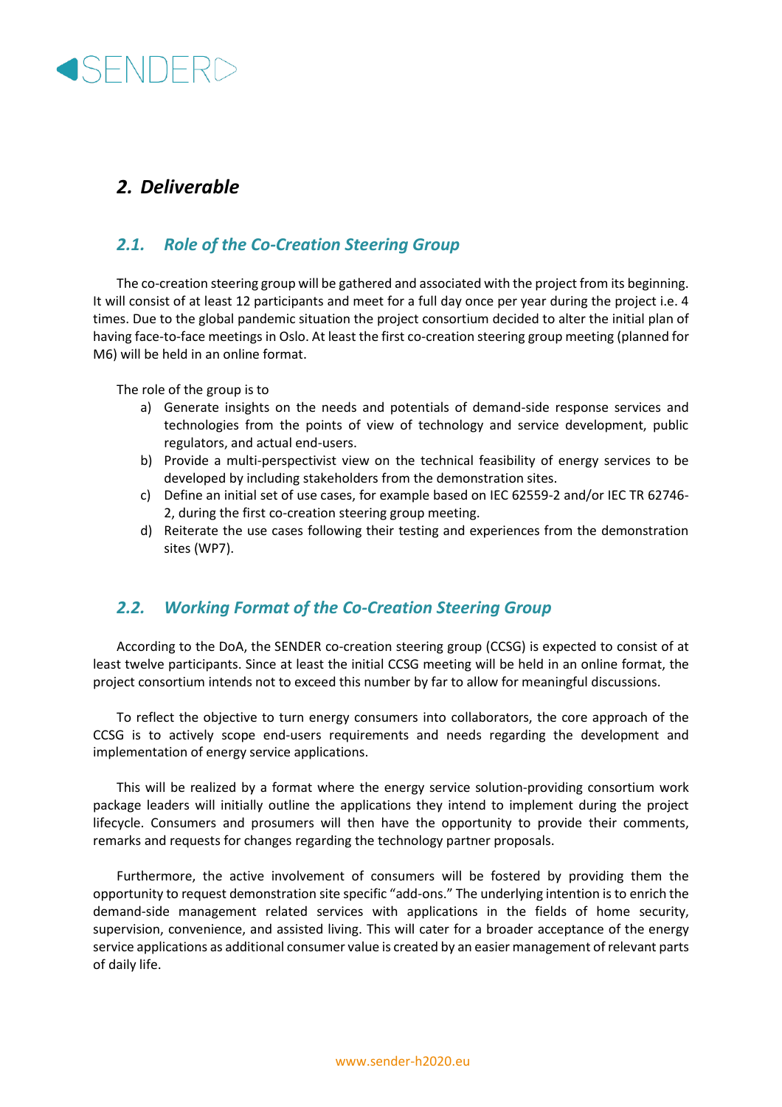## <span id="page-6-0"></span>*2. Deliverable*

### <span id="page-6-1"></span>*2.1. Role of the Co-Creation Steering Group*

The co-creation steering group will be gathered and associated with the project from its beginning. It will consist of at least 12 participants and meet for a full day once per year during the project i.e. 4 times. Due to the global pandemic situation the project consortium decided to alter the initial plan of having face-to-face meetings in Oslo. At least the first co-creation steering group meeting (planned for M6) will be held in an online format.

The role of the group is to

- a) Generate insights on the needs and potentials of demand-side response services and technologies from the points of view of technology and service development, public regulators, and actual end-users.
- b) Provide a multi-perspectivist view on the technical feasibility of energy services to be developed by including stakeholders from the demonstration sites.
- c) Define an initial set of use cases, for example based on IEC 62559-2 and/or IEC TR 62746- 2, during the first co-creation steering group meeting.
- d) Reiterate the use cases following their testing and experiences from the demonstration sites (WP7).

#### <span id="page-6-2"></span>*2.2. Working Format of the Co-Creation Steering Group*

According to the DoA, the SENDER co-creation steering group (CCSG) is expected to consist of at least twelve participants. Since at least the initial CCSG meeting will be held in an online format, the project consortium intends not to exceed this number by far to allow for meaningful discussions.

To reflect the objective to turn energy consumers into collaborators, the core approach of the CCSG is to actively scope end-users requirements and needs regarding the development and implementation of energy service applications.

This will be realized by a format where the energy service solution-providing consortium work package leaders will initially outline the applications they intend to implement during the project lifecycle. Consumers and prosumers will then have the opportunity to provide their comments, remarks and requests for changes regarding the technology partner proposals.

Furthermore, the active involvement of consumers will be fostered by providing them the opportunity to request demonstration site specific "add-ons." The underlying intention is to enrich the demand-side management related services with applications in the fields of home security, supervision, convenience, and assisted living. This will cater for a broader acceptance of the energy service applications as additional consumer value is created by an easier management of relevant parts of daily life.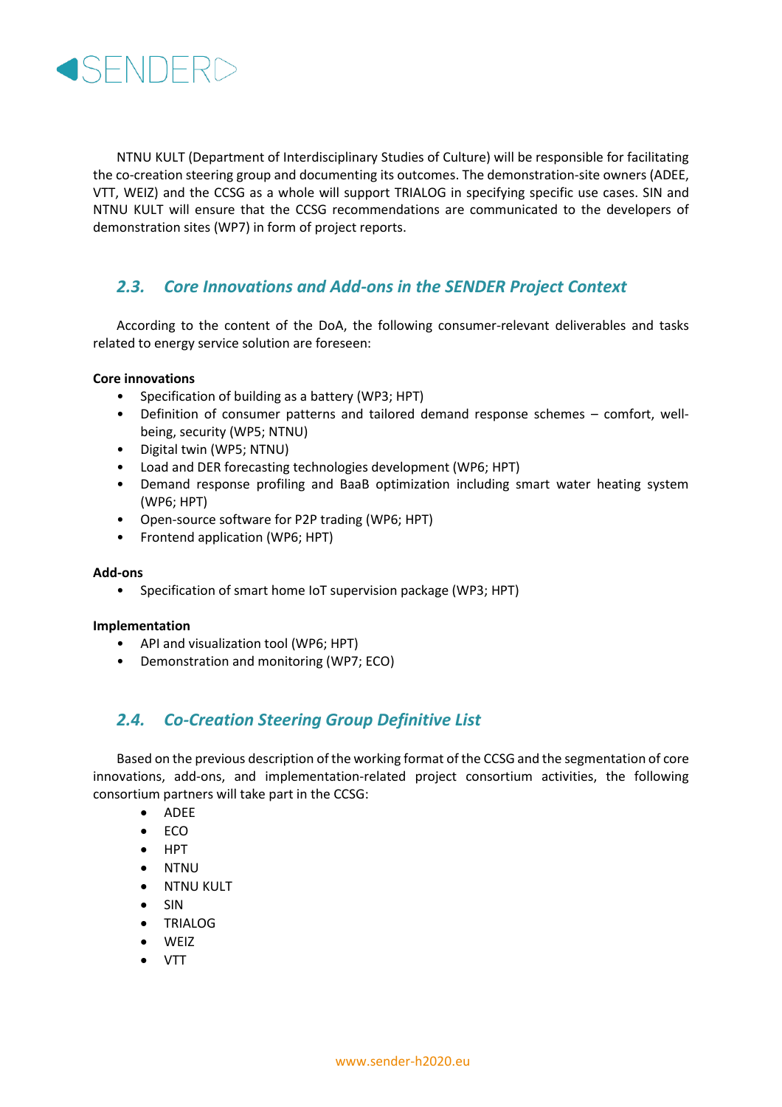

NTNU KULT (Department of Interdisciplinary Studies of Culture) will be responsible for facilitating the co-creation steering group and documenting its outcomes. The demonstration-site owners (ADEE, VTT, WEIZ) and the CCSG as a whole will support TRIALOG in specifying specific use cases. SIN and NTNU KULT will ensure that the CCSG recommendations are communicated to the developers of demonstration sites (WP7) in form of project reports.

#### <span id="page-7-0"></span>*2.3. Core Innovations and Add-ons in the SENDER Project Context*

According to the content of the DoA, the following consumer-relevant deliverables and tasks related to energy service solution are foreseen:

#### **Core innovations**

- Specification of building as a battery (WP3; HPT)
- Definition of consumer patterns and tailored demand response schemes comfort, wellbeing, security (WP5; NTNU)
- Digital twin (WP5; NTNU)
- Load and DER forecasting technologies development (WP6; HPT)
- Demand response profiling and BaaB optimization including smart water heating system (WP6; HPT)
- Open-source software for P2P trading (WP6; HPT)
- Frontend application (WP6; HPT)

#### **Add-ons**

• Specification of smart home IoT supervision package (WP3; HPT)

#### **Implementation**

- API and visualization tool (WP6; HPT)
- Demonstration and monitoring (WP7; ECO)

#### <span id="page-7-1"></span>*2.4. Co-Creation Steering Group Definitive List*

Based on the previous description of the working format of the CCSG and the segmentation of core innovations, add-ons, and implementation-related project consortium activities, the following consortium partners will take part in the CCSG:

- ADEE
- ECO
- HPT
- NTNU
- NTNU KULT
- SIN
- TRIALOG
- WEIZ
- VTT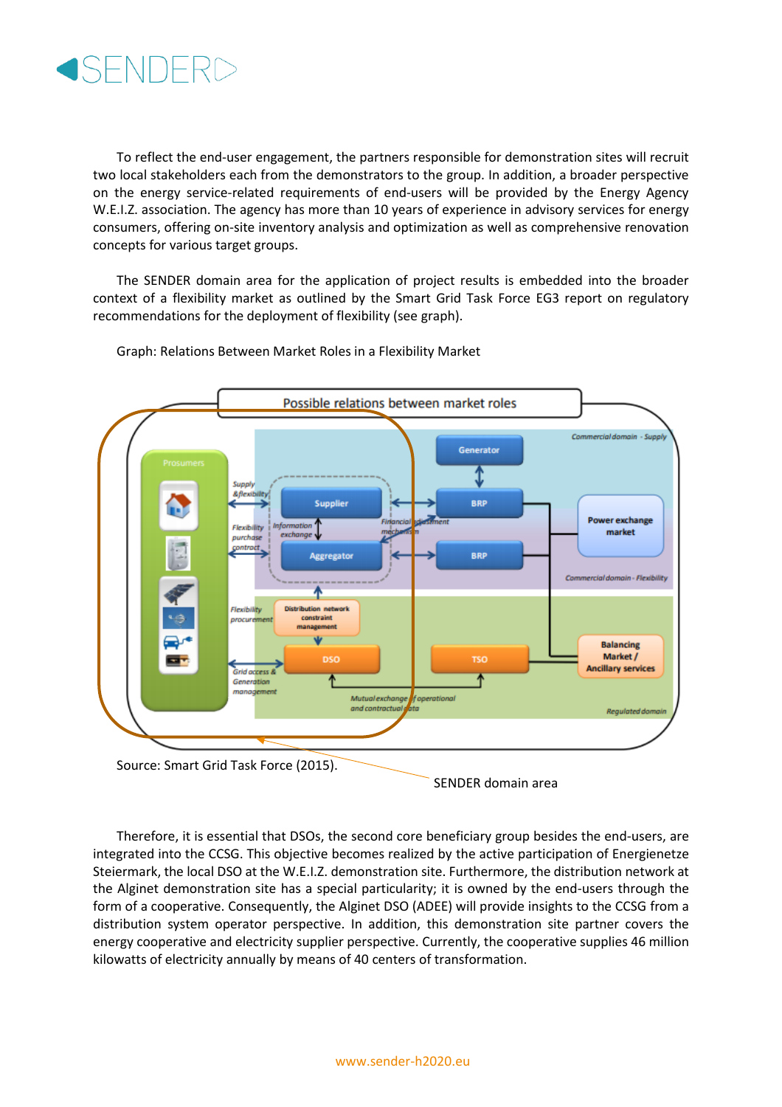

To reflect the end-user engagement, the partners responsible for demonstration sites will recruit two local stakeholders each from the demonstrators to the group. In addition, a broader perspective on the energy service-related requirements of end-users will be provided by the Energy Agency W.E.I.Z. association. The agency has more than 10 years of experience in advisory services for energy consumers, offering on-site inventory analysis and optimization as well as comprehensive renovation concepts for various target groups.

The SENDER domain area for the application of project results is embedded into the broader context of a flexibility market as outlined by the Smart Grid Task Force EG3 report on regulatory recommendations for the deployment of flexibility (see graph).



Graph: Relations Between Market Roles in a Flexibility Market

Therefore, it is essential that DSOs, the second core beneficiary group besides the end-users, are integrated into the CCSG. This objective becomes realized by the active participation of Energienetze Steiermark, the local DSO at the W.E.I.Z. demonstration site. Furthermore, the distribution network at the Alginet demonstration site has a special particularity; it is owned by the end-users through the form of a cooperative. Consequently, the Alginet DSO (ADEE) will provide insights to the CCSG from a distribution system operator perspective. In addition, this demonstration site partner covers the energy cooperative and electricity supplier perspective. Currently, the cooperative supplies 46 million kilowatts of electricity annually by means of 40 centers of transformation.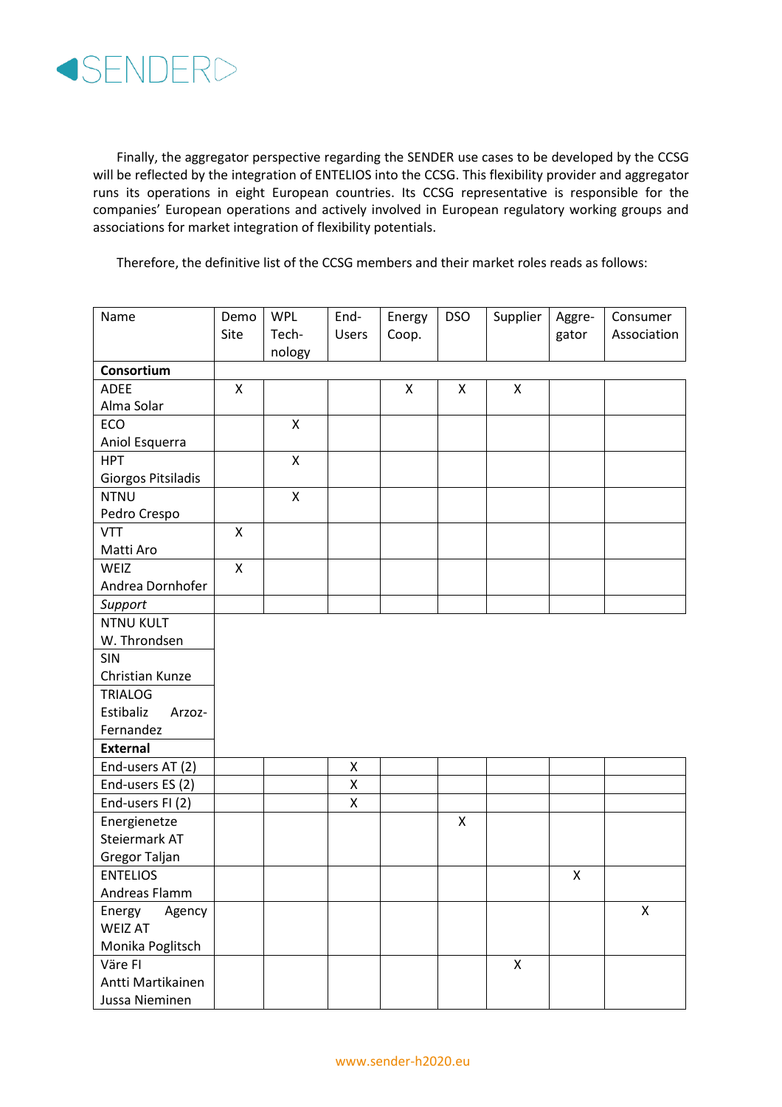

Finally, the aggregator perspective regarding the SENDER use cases to be developed by the CCSG will be reflected by the integration of ENTELIOS into the CCSG. This flexibility provider and aggregator runs its operations in eight European countries. Its CCSG representative is responsible for the companies' European operations and actively involved in European regulatory working groups and associations for market integration of flexibility potentials.

Therefore, the definitive list of the CCSG members and their market roles reads as follows:

| Name                | Demo | <b>WPL</b>         | End-               | Energy | <b>DSO</b> | Supplier | Aggre- | Consumer    |
|---------------------|------|--------------------|--------------------|--------|------------|----------|--------|-------------|
|                     | Site | Tech-              | <b>Users</b>       | Coop.  |            |          | gator  | Association |
|                     |      | nology             |                    |        |            |          |        |             |
| Consortium          |      |                    |                    |        |            |          |        |             |
| <b>ADEE</b>         | X    |                    |                    | X      | X          | X        |        |             |
| Alma Solar          |      |                    |                    |        |            |          |        |             |
| ECO                 |      | X                  |                    |        |            |          |        |             |
| Aniol Esquerra      |      |                    |                    |        |            |          |        |             |
| <b>HPT</b>          |      | X                  |                    |        |            |          |        |             |
| Giorgos Pitsiladis  |      |                    |                    |        |            |          |        |             |
| <b>NTNU</b>         |      | $\pmb{\mathsf{X}}$ |                    |        |            |          |        |             |
| Pedro Crespo        |      |                    |                    |        |            |          |        |             |
| <b>VTT</b>          | X    |                    |                    |        |            |          |        |             |
| Matti Aro           |      |                    |                    |        |            |          |        |             |
| WEIZ                | X    |                    |                    |        |            |          |        |             |
| Andrea Dornhofer    |      |                    |                    |        |            |          |        |             |
| Support             |      |                    |                    |        |            |          |        |             |
| <b>NTNU KULT</b>    |      |                    |                    |        |            |          |        |             |
| W. Throndsen        |      |                    |                    |        |            |          |        |             |
| <b>SIN</b>          |      |                    |                    |        |            |          |        |             |
| Christian Kunze     |      |                    |                    |        |            |          |        |             |
| <b>TRIALOG</b>      |      |                    |                    |        |            |          |        |             |
| Estibaliz<br>Arzoz- |      |                    |                    |        |            |          |        |             |
| Fernandez           |      |                    |                    |        |            |          |        |             |
| <b>External</b>     |      |                    |                    |        |            |          |        |             |
| End-users AT (2)    |      |                    | Χ                  |        |            |          |        |             |
| End-users ES (2)    |      |                    | Χ                  |        |            |          |        |             |
| End-users FI (2)    |      |                    | $\pmb{\mathsf{X}}$ |        |            |          |        |             |
| Energienetze        |      |                    |                    |        | X          |          |        |             |
| Steiermark AT       |      |                    |                    |        |            |          |        |             |
| Gregor Taljan       |      |                    |                    |        |            |          |        |             |
| <b>ENTELIOS</b>     |      |                    |                    |        |            |          | X      |             |
| Andreas Flamm       |      |                    |                    |        |            |          |        |             |
| Agency<br>Energy    |      |                    |                    |        |            |          |        | X           |
| <b>WEIZ AT</b>      |      |                    |                    |        |            |          |        |             |
| Monika Poglitsch    |      |                    |                    |        |            |          |        |             |
| Väre FI             |      |                    |                    |        |            | X        |        |             |
| Antti Martikainen   |      |                    |                    |        |            |          |        |             |
| Jussa Nieminen      |      |                    |                    |        |            |          |        |             |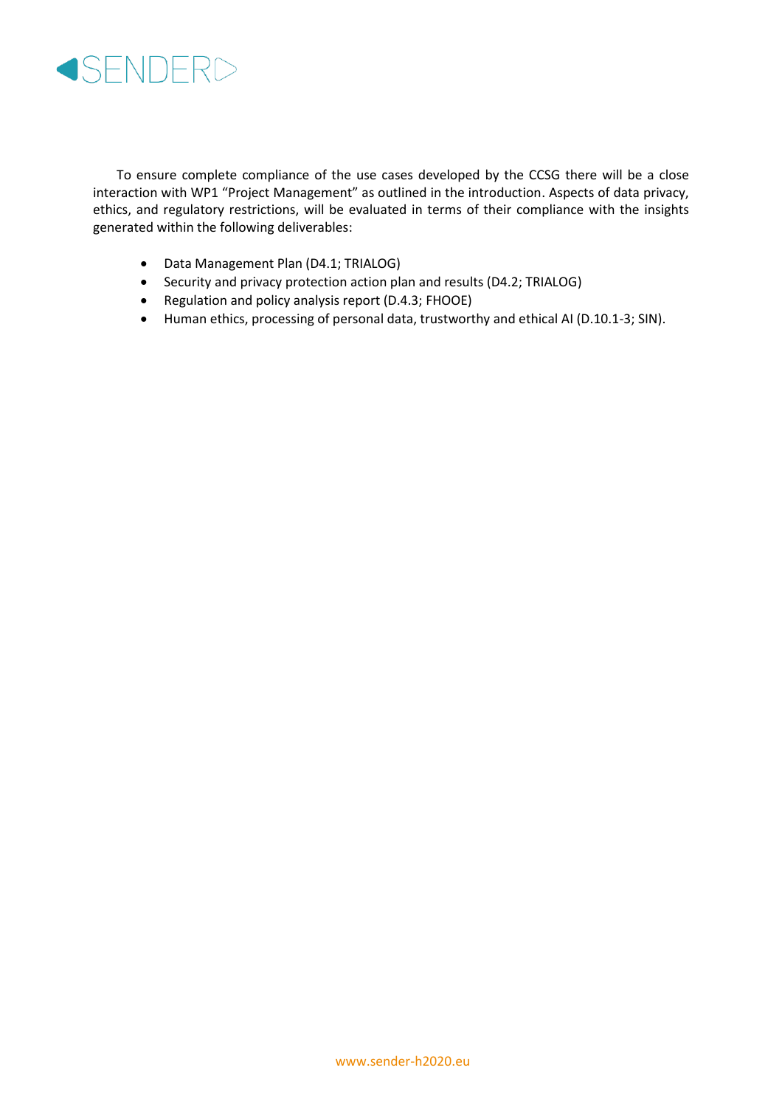

To ensure complete compliance of the use cases developed by the CCSG there will be a close interaction with WP1 "Project Management" as outlined in the introduction. Aspects of data privacy, ethics, and regulatory restrictions, will be evaluated in terms of their compliance with the insights generated within the following deliverables:

- Data Management Plan (D4.1; TRIALOG)
- Security and privacy protection action plan and results (D4.2; TRIALOG)
- Regulation and policy analysis report (D.4.3; FHOOE)
- Human ethics, processing of personal data, trustworthy and ethical AI (D.10.1-3; SIN).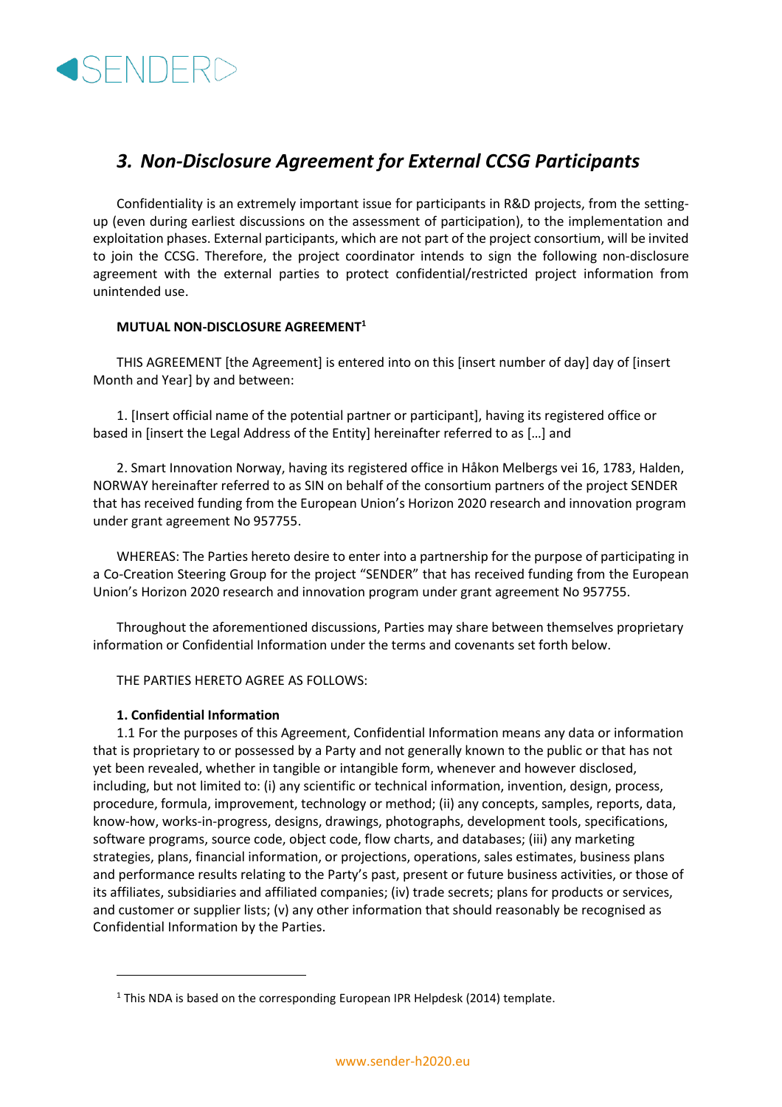### <span id="page-11-0"></span>*3. Non-Disclosure Agreement for External CCSG Participants*

Confidentiality is an extremely important issue for participants in R&D projects, from the settingup (even during earliest discussions on the assessment of participation), to the implementation and exploitation phases. External participants, which are not part of the project consortium, will be invited to join the CCSG. Therefore, the project coordinator intends to sign the following non-disclosure agreement with the external parties to protect confidential/restricted project information from unintended use.

#### **MUTUAL NON-DISCLOSURE AGREEMENT<sup>1</sup>**

THIS AGREEMENT [the Agreement] is entered into on this [insert number of day] day of [insert Month and Year] by and between:

1. [Insert official name of the potential partner or participant], having its registered office or based in [insert the Legal Address of the Entity] hereinafter referred to as […] and

2. Smart Innovation Norway, having its registered office in Håkon Melbergs vei 16, 1783, Halden, NORWAY hereinafter referred to as SIN on behalf of the consortium partners of the project SENDER that has received funding from the European Union's Horizon 2020 research and innovation program under grant agreement No 957755.

WHEREAS: The Parties hereto desire to enter into a partnership for the purpose of participating in a Co-Creation Steering Group for the project "SENDER" that has received funding from the European Union's Horizon 2020 research and innovation program under grant agreement No 957755.

Throughout the aforementioned discussions, Parties may share between themselves proprietary information or Confidential Information under the terms and covenants set forth below.

THE PARTIES HERETO AGREE AS FOLLOWS:

#### **1. Confidential Information**

1.1 For the purposes of this Agreement, Confidential Information means any data or information that is proprietary to or possessed by a Party and not generally known to the public or that has not yet been revealed, whether in tangible or intangible form, whenever and however disclosed, including, but not limited to: (i) any scientific or technical information, invention, design, process, procedure, formula, improvement, technology or method; (ii) any concepts, samples, reports, data, know-how, works-in-progress, designs, drawings, photographs, development tools, specifications, software programs, source code, object code, flow charts, and databases; (iii) any marketing strategies, plans, financial information, or projections, operations, sales estimates, business plans and performance results relating to the Party's past, present or future business activities, or those of its affiliates, subsidiaries and affiliated companies; (iv) trade secrets; plans for products or services, and customer or supplier lists; (v) any other information that should reasonably be recognised as Confidential Information by the Parties.

<sup>&</sup>lt;sup>1</sup> This NDA is based on the corresponding European IPR Helpdesk (2014) template.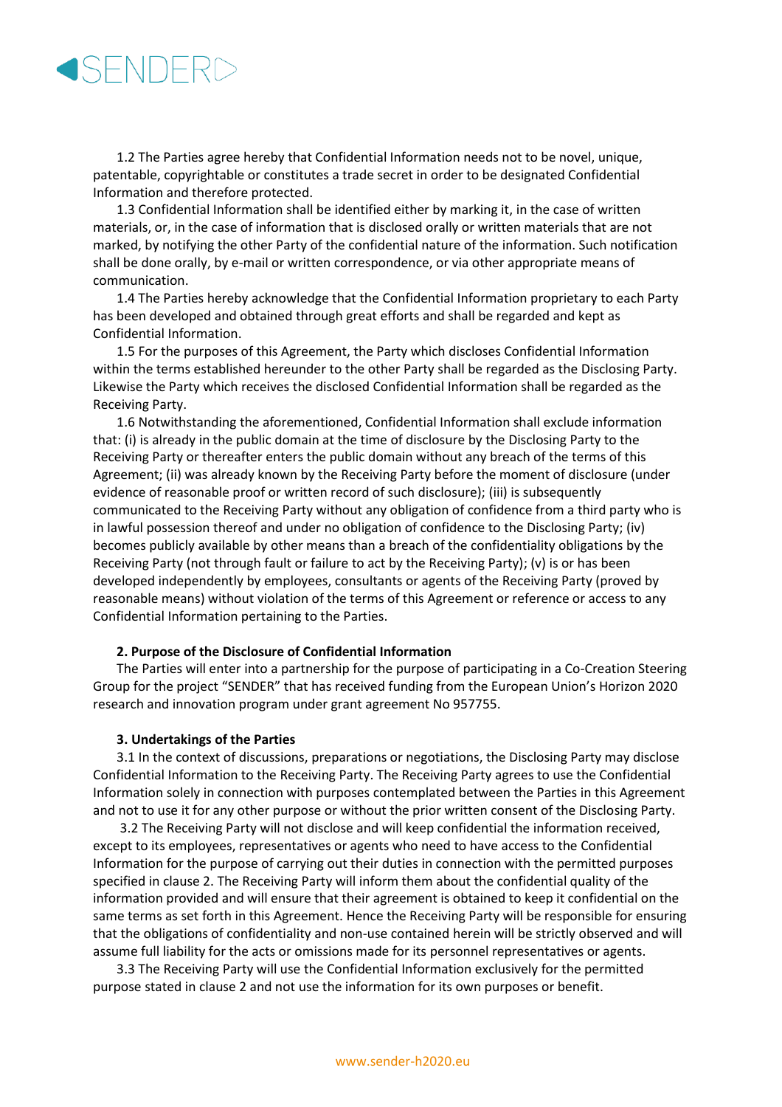1.2 The Parties agree hereby that Confidential Information needs not to be novel, unique, patentable, copyrightable or constitutes a trade secret in order to be designated Confidential Information and therefore protected.

1.3 Confidential Information shall be identified either by marking it, in the case of written materials, or, in the case of information that is disclosed orally or written materials that are not marked, by notifying the other Party of the confidential nature of the information. Such notification shall be done orally, by e-mail or written correspondence, or via other appropriate means of communication.

1.4 The Parties hereby acknowledge that the Confidential Information proprietary to each Party has been developed and obtained through great efforts and shall be regarded and kept as Confidential Information.

1.5 For the purposes of this Agreement, the Party which discloses Confidential Information within the terms established hereunder to the other Party shall be regarded as the Disclosing Party. Likewise the Party which receives the disclosed Confidential Information shall be regarded as the Receiving Party.

1.6 Notwithstanding the aforementioned, Confidential Information shall exclude information that: (i) is already in the public domain at the time of disclosure by the Disclosing Party to the Receiving Party or thereafter enters the public domain without any breach of the terms of this Agreement; (ii) was already known by the Receiving Party before the moment of disclosure (under evidence of reasonable proof or written record of such disclosure); (iii) is subsequently communicated to the Receiving Party without any obligation of confidence from a third party who is in lawful possession thereof and under no obligation of confidence to the Disclosing Party; (iv) becomes publicly available by other means than a breach of the confidentiality obligations by the Receiving Party (not through fault or failure to act by the Receiving Party); (v) is or has been developed independently by employees, consultants or agents of the Receiving Party (proved by reasonable means) without violation of the terms of this Agreement or reference or access to any Confidential Information pertaining to the Parties.

#### **2. Purpose of the Disclosure of Confidential Information**

The Parties will enter into a partnership for the purpose of participating in a Co-Creation Steering Group for the project "SENDER" that has received funding from the European Union's Horizon 2020 research and innovation program under grant agreement No 957755.

#### **3. Undertakings of the Parties**

3.1 In the context of discussions, preparations or negotiations, the Disclosing Party may disclose Confidential Information to the Receiving Party. The Receiving Party agrees to use the Confidential Information solely in connection with purposes contemplated between the Parties in this Agreement and not to use it for any other purpose or without the prior written consent of the Disclosing Party.

3.2 The Receiving Party will not disclose and will keep confidential the information received, except to its employees, representatives or agents who need to have access to the Confidential Information for the purpose of carrying out their duties in connection with the permitted purposes specified in clause 2. The Receiving Party will inform them about the confidential quality of the information provided and will ensure that their agreement is obtained to keep it confidential on the same terms as set forth in this Agreement. Hence the Receiving Party will be responsible for ensuring that the obligations of confidentiality and non-use contained herein will be strictly observed and will assume full liability for the acts or omissions made for its personnel representatives or agents.

3.3 The Receiving Party will use the Confidential Information exclusively for the permitted purpose stated in clause 2 and not use the information for its own purposes or benefit.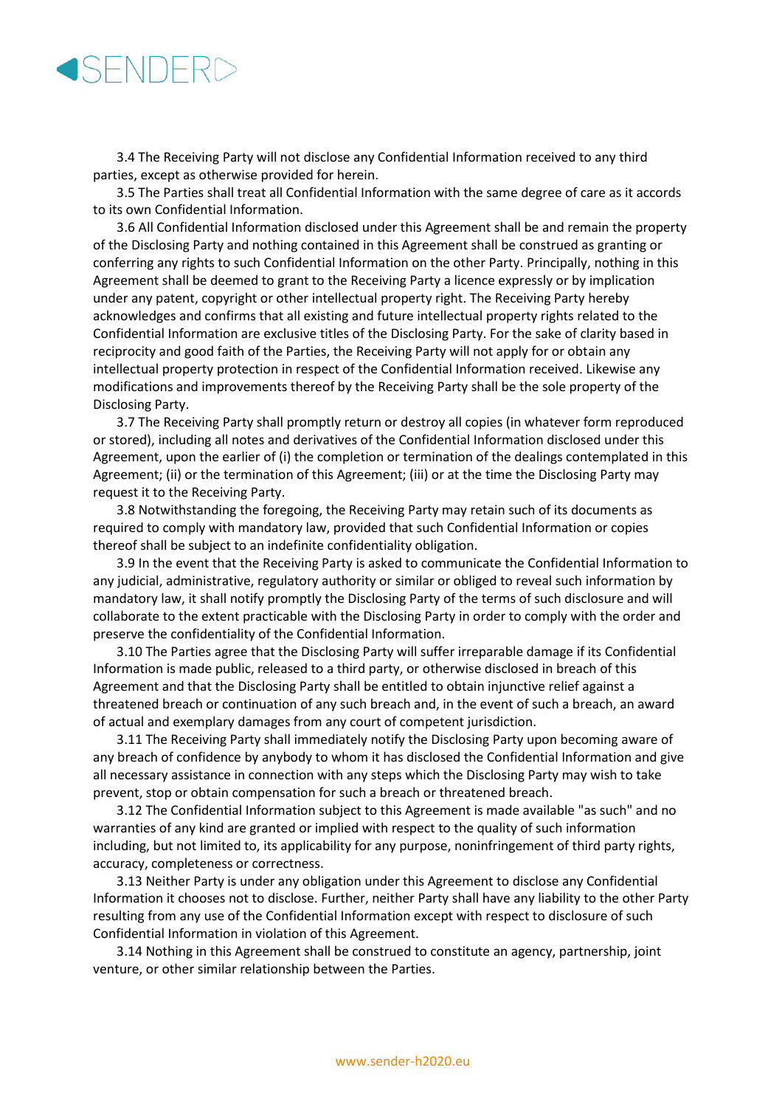3.4 The Receiving Party will not disclose any Confidential Information received to any third parties, except as otherwise provided for herein.

3.5 The Parties shall treat all Confidential Information with the same degree of care as it accords to its own Confidential Information.

3.6 All Confidential Information disclosed under this Agreement shall be and remain the property of the Disclosing Party and nothing contained in this Agreement shall be construed as granting or conferring any rights to such Confidential Information on the other Party. Principally, nothing in this Agreement shall be deemed to grant to the Receiving Party a licence expressly or by implication under any patent, copyright or other intellectual property right. The Receiving Party hereby acknowledges and confirms that all existing and future intellectual property rights related to the Confidential Information are exclusive titles of the Disclosing Party. For the sake of clarity based in reciprocity and good faith of the Parties, the Receiving Party will not apply for or obtain any intellectual property protection in respect of the Confidential Information received. Likewise any modifications and improvements thereof by the Receiving Party shall be the sole property of the Disclosing Party.

3.7 The Receiving Party shall promptly return or destroy all copies (in whatever form reproduced or stored), including all notes and derivatives of the Confidential Information disclosed under this Agreement, upon the earlier of (i) the completion or termination of the dealings contemplated in this Agreement; (ii) or the termination of this Agreement; (iii) or at the time the Disclosing Party may request it to the Receiving Party.

3.8 Notwithstanding the foregoing, the Receiving Party may retain such of its documents as required to comply with mandatory law, provided that such Confidential Information or copies thereof shall be subject to an indefinite confidentiality obligation.

3.9 In the event that the Receiving Party is asked to communicate the Confidential Information to any judicial, administrative, regulatory authority or similar or obliged to reveal such information by mandatory law, it shall notify promptly the Disclosing Party of the terms of such disclosure and will collaborate to the extent practicable with the Disclosing Party in order to comply with the order and preserve the confidentiality of the Confidential Information.

3.10 The Parties agree that the Disclosing Party will suffer irreparable damage if its Confidential Information is made public, released to a third party, or otherwise disclosed in breach of this Agreement and that the Disclosing Party shall be entitled to obtain injunctive relief against a threatened breach or continuation of any such breach and, in the event of such a breach, an award of actual and exemplary damages from any court of competent jurisdiction.

3.11 The Receiving Party shall immediately notify the Disclosing Party upon becoming aware of any breach of confidence by anybody to whom it has disclosed the Confidential Information and give all necessary assistance in connection with any steps which the Disclosing Party may wish to take prevent, stop or obtain compensation for such a breach or threatened breach.

3.12 The Confidential Information subject to this Agreement is made available "as such" and no warranties of any kind are granted or implied with respect to the quality of such information including, but not limited to, its applicability for any purpose, noninfringement of third party rights, accuracy, completeness or correctness.

3.13 Neither Party is under any obligation under this Agreement to disclose any Confidential Information it chooses not to disclose. Further, neither Party shall have any liability to the other Party resulting from any use of the Confidential Information except with respect to disclosure of such Confidential Information in violation of this Agreement.

3.14 Nothing in this Agreement shall be construed to constitute an agency, partnership, joint venture, or other similar relationship between the Parties.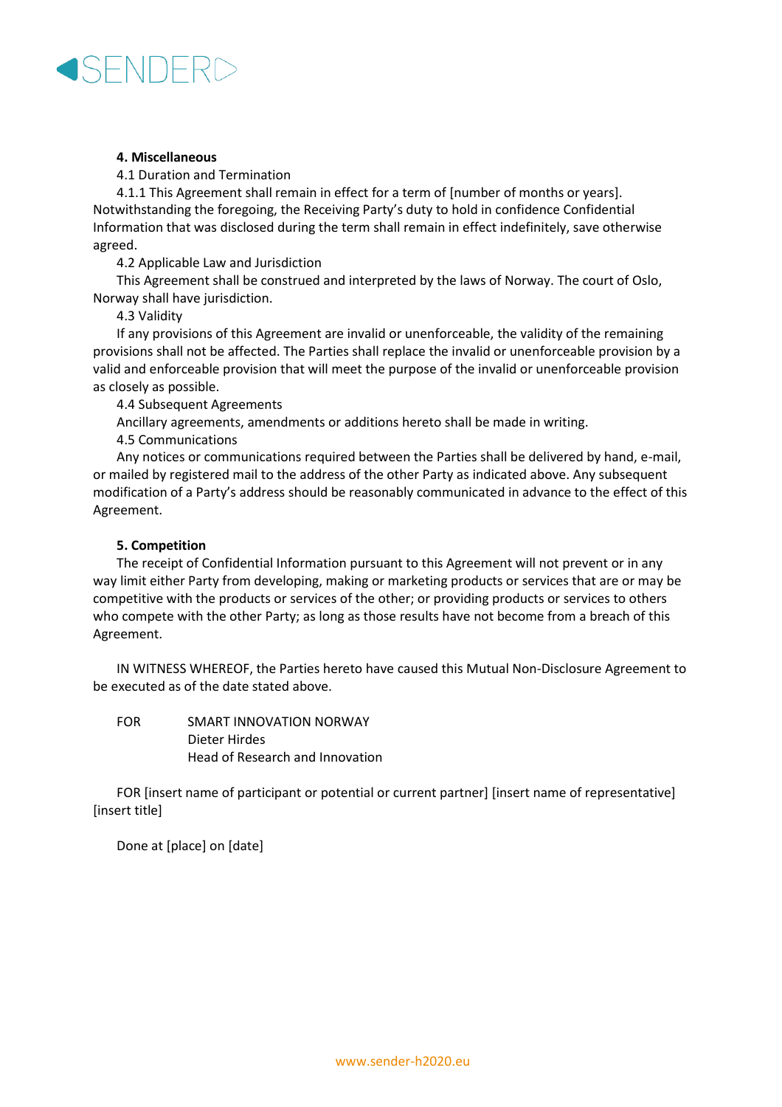

#### **4. Miscellaneous**

4.1 Duration and Termination

4.1.1 This Agreement shall remain in effect for a term of [number of months or years]. Notwithstanding the foregoing, the Receiving Party's duty to hold in confidence Confidential Information that was disclosed during the term shall remain in effect indefinitely, save otherwise agreed.

4.2 Applicable Law and Jurisdiction

This Agreement shall be construed and interpreted by the laws of Norway. The court of Oslo, Norway shall have jurisdiction.

4.3 Validity

If any provisions of this Agreement are invalid or unenforceable, the validity of the remaining provisions shall not be affected. The Parties shall replace the invalid or unenforceable provision by a valid and enforceable provision that will meet the purpose of the invalid or unenforceable provision as closely as possible.

4.4 Subsequent Agreements

Ancillary agreements, amendments or additions hereto shall be made in writing.

4.5 Communications

Any notices or communications required between the Parties shall be delivered by hand, e-mail, or mailed by registered mail to the address of the other Party as indicated above. Any subsequent modification of a Party's address should be reasonably communicated in advance to the effect of this Agreement.

#### **5. Competition**

The receipt of Confidential Information pursuant to this Agreement will not prevent or in any way limit either Party from developing, making or marketing products or services that are or may be competitive with the products or services of the other; or providing products or services to others who compete with the other Party; as long as those results have not become from a breach of this Agreement.

IN WITNESS WHEREOF, the Parties hereto have caused this Mutual Non-Disclosure Agreement to be executed as of the date stated above.

FOR SMART INNOVATION NORWAY Dieter Hirdes Head of Research and Innovation

FOR [insert name of participant or potential or current partner] [insert name of representative] [insert title]

Done at [place] on [date]